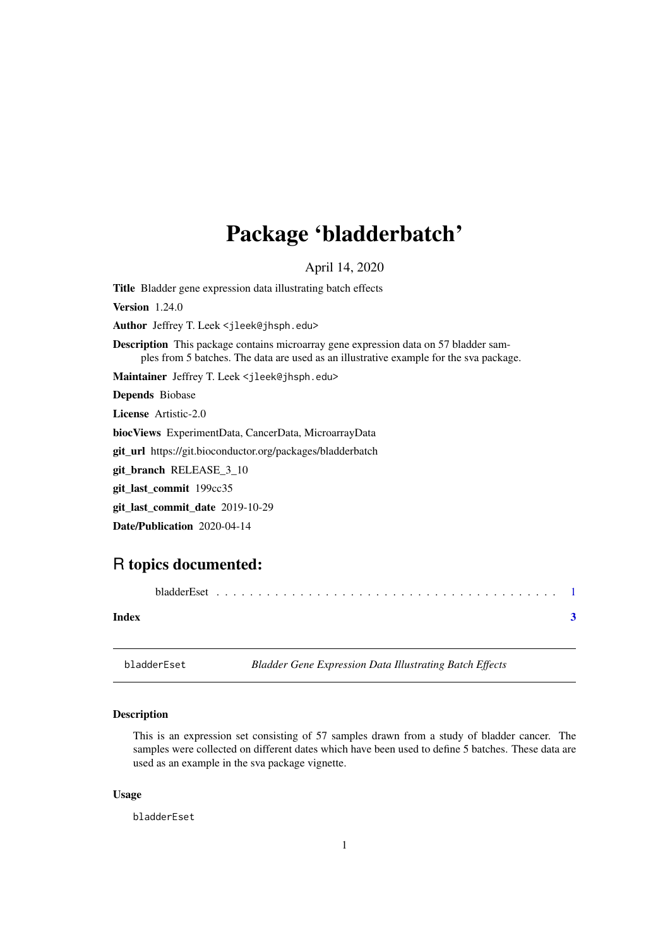## <span id="page-0-0"></span>Package 'bladderbatch'

April 14, 2020

Title Bladder gene expression data illustrating batch effects

Version 1.24.0

Author Jeffrey T. Leek <jleek@jhsph.edu>

Description This package contains microarray gene expression data on 57 bladder samples from 5 batches. The data are used as an illustrative example for the sva package.

Maintainer Jeffrey T. Leek <jleek@jhsph.edu>

Depends Biobase

License Artistic-2.0

biocViews ExperimentData, CancerData, MicroarrayData

git\_url https://git.bioconductor.org/packages/bladderbatch

git\_branch RELEASE\_3\_10

git\_last\_commit 199cc35

git\_last\_commit\_date 2019-10-29

Date/Publication 2020-04-14

### R topics documented:

bladderEset . . . . . . . . . . . . . . . . . . . . . . . . . . . . . . . . . . . . . . . . . [1](#page-0-0) **Index** [3](#page-2-0)

bladderEset *Bladder Gene Expression Data Illustrating Batch Effects*

#### Description

This is an expression set consisting of 57 samples drawn from a study of bladder cancer. The samples were collected on different dates which have been used to define 5 batches. These data are used as an example in the sva package vignette.

#### Usage

bladderEset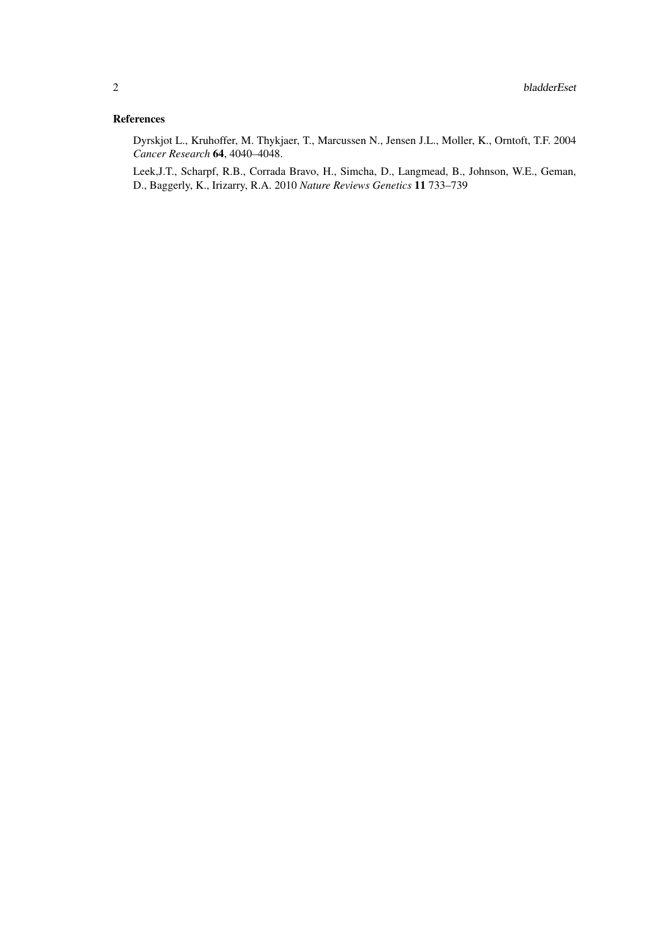#### References

Dyrskjot L., Kruhoffer, M. Thykjaer, T., Marcussen N., Jensen J.L., Moller, K., Orntoft, T.F. 2004 *Cancer Research* 64, 4040–4048.

Leek,J.T., Scharpf, R.B., Corrada Bravo, H., Simcha, D., Langmead, B., Johnson, W.E., Geman, D., Baggerly, K., Irizarry, R.A. 2010 *Nature Reviews Genetics* 11 733–739